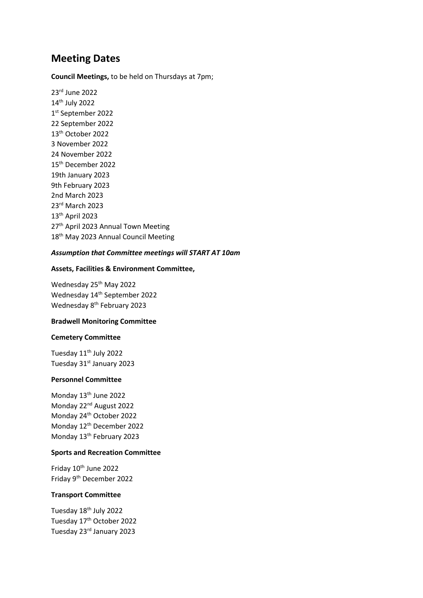# **Meeting Dates**

**Council Meetings,** to be held on Thursdays at 7pm;

23rd June 2022 14th July 2022 1 st September 2022 22 September 2022 13th October 2022 3 November 2022 24 November 2022 15th December 2022 19th January 2023 9th February 2023 2nd March 2023 23rd March 2023 13th April 2023 27<sup>th</sup> April 2023 Annual Town Meeting 18<sup>th</sup> May 2023 Annual Council Meeting

# *Assumption that Committee meetings will START AT 10am*

# **Assets, Facilities & Environment Committee,**

Wednesday 25<sup>th</sup> May 2022 Wednesday 14<sup>th</sup> September 2022 Wednesday 8<sup>th</sup> February 2023

## **Bradwell Monitoring Committee**

#### **Cemetery Committee**

Tuesday 11th July 2022 Tuesday 31st January 2023

# **Personnel Committee**

Monday 13<sup>th</sup> June 2022 Monday 22nd August 2022 Monday 24<sup>th</sup> October 2022 Monday 12th December 2022 Monday 13<sup>th</sup> February 2023

# **Sports and Recreation Committee**

Friday 10<sup>th</sup> June 2022 Friday 9th December 2022

# **Transport Committee**

Tuesday 18<sup>th</sup> July 2022 Tuesday 17<sup>th</sup> October 2022 Tuesday 23rd January 2023